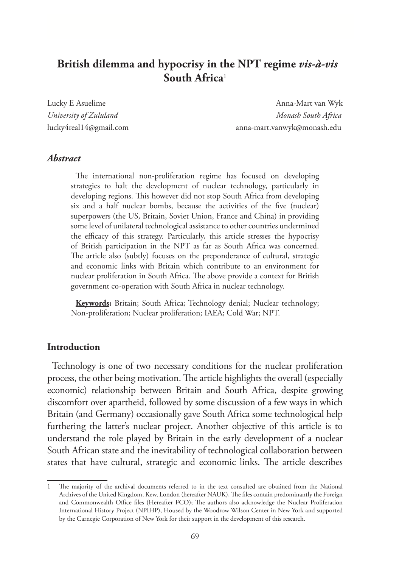# **British dilemma and hypocrisy in the NPT regime** *vis-à-vis* **South Africa**<sup>1</sup>

Lucky E Asuelime Anna-Mart van Wyk anna-Mart van Wyk anna-Mart van Wyk anna-Mart van Wyk anna-Mart van Wyk ann *University of Zululand Monash South Africa* lucky4real14@gmail.com anna-mart.vanwyk@monash.edu

#### *Abstract*

The international non-proliferation regime has focused on developing strategies to halt the development of nuclear technology, particularly in developing regions. This however did not stop South Africa from developing six and a half nuclear bombs, because the activities of the five (nuclear) superpowers (the US, Britain, Soviet Union, France and China) in providing some level of unilateral technological assistance to other countries undermined the efficacy of this strategy. Particularly, this article stresses the hypocrisy of British participation in the NPT as far as South Africa was concerned. The article also (subtly) focuses on the preponderance of cultural, strategic and economic links with Britain which contribute to an environment for nuclear proliferation in South Africa. The above provide a context for British government co-operation with South Africa in nuclear technology.

**Keywords:** Britain; South Africa; Technology denial; Nuclear technology; Non-proliferation; Nuclear proliferation; IAEA; Cold War; NPT.

#### **Introduction**

Technology is one of two necessary conditions for the nuclear proliferation process, the other being motivation. The article highlights the overall (especially economic) relationship between Britain and South Africa, despite growing discomfort over apartheid, followed by some discussion of a few ways in which Britain (and Germany) occasionally gave South Africa some technological help furthering the latter's nuclear project. Another objective of this article is to understand the role played by Britain in the early development of a nuclear South African state and the inevitability of technological collaboration between states that have cultural, strategic and economic links. The article describes

The majority of the archival documents referred to in the text consulted are obtained from the National Archives of the United Kingdom, Kew, London (hereafter NAUK), The files contain predominantly the Foreign and Commonwealth Office files (Hereafter FCO); The authors also acknowledge the Nuclear Proliferation International History Project (NPIHP), Housed by the Woodrow Wilson Center in New York and supported by the Carnegie Corporation of New York for their support in the development of this research.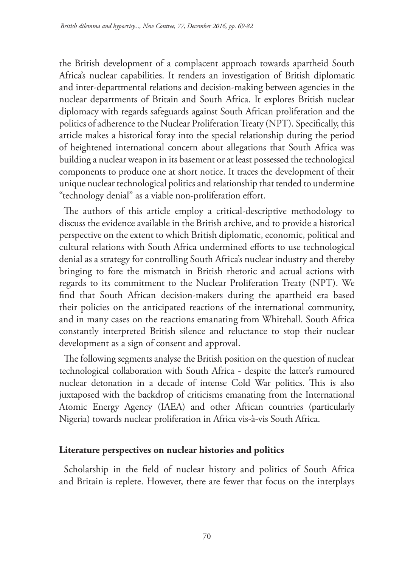the British development of a complacent approach towards apartheid South Africa's nuclear capabilities. It renders an investigation of British diplomatic and inter-departmental relations and decision-making between agencies in the nuclear departments of Britain and South Africa. It explores British nuclear diplomacy with regards safeguards against South African proliferation and the politics of adherence to the Nuclear Proliferation Treaty (NPT). Specifically, this article makes a historical foray into the special relationship during the period of heightened international concern about allegations that South Africa was building a nuclear weapon in its basement or at least possessed the technological components to produce one at short notice. It traces the development of their unique nuclear technological politics and relationship that tended to undermine "technology denial" as a viable non-proliferation effort.

The authors of this article employ a critical-descriptive methodology to discuss the evidence available in the British archive, and to provide a historical perspective on the extent to which British diplomatic, economic, political and cultural relations with South Africa undermined efforts to use technological denial as a strategy for controlling South Africa's nuclear industry and thereby bringing to fore the mismatch in British rhetoric and actual actions with regards to its commitment to the Nuclear Proliferation Treaty (NPT). We find that South African decision-makers during the apartheid era based their policies on the anticipated reactions of the international community, and in many cases on the reactions emanating from Whitehall. South Africa constantly interpreted British silence and reluctance to stop their nuclear development as a sign of consent and approval.

The following segments analyse the British position on the question of nuclear technological collaboration with South Africa - despite the latter's rumoured nuclear detonation in a decade of intense Cold War politics. This is also juxtaposed with the backdrop of criticisms emanating from the International Atomic Energy Agency (IAEA) and other African countries (particularly Nigeria) towards nuclear proliferation in Africa vis-à-vis South Africa.

### **Literature perspectives on nuclear histories and politics**

Scholarship in the field of nuclear history and politics of South Africa and Britain is replete. However, there are fewer that focus on the interplays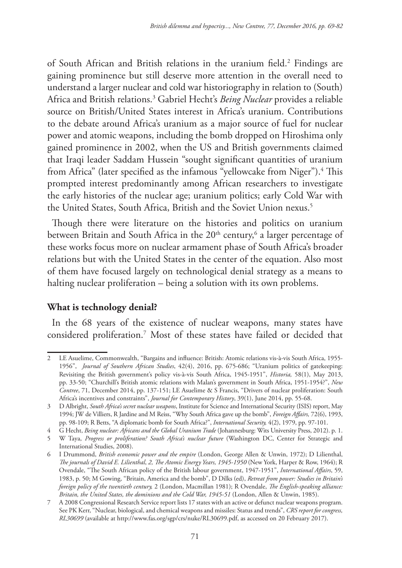of South African and British relations in the uranium field.<sup>2</sup> Findings are gaining prominence but still deserve more attention in the overall need to understand a larger nuclear and cold war historiography in relation to (South) Africa and British relations.3 Gabriel Hecht's *Being Nuclear* provides a reliable source on British/United States interest in Africa's uranium. Contributions to the debate around Africa's uranium as a major source of fuel for nuclear power and atomic weapons, including the bomb dropped on Hiroshima only gained prominence in 2002, when the US and British governments claimed that Iraqi leader Saddam Hussein "sought significant quantities of uranium from Africa" (later specified as the infamous "yellowcake from Niger").<sup>4</sup> This prompted interest predominantly among African researchers to investigate the early histories of the nuclear age; uranium politics; early Cold War with the United States, South Africa, British and the Soviet Union nexus.<sup>5</sup>

Though there were literature on the histories and politics on uranium between Britain and South Africa in the 20<sup>th</sup> century, $^6$  a larger percentage of these works focus more on nuclear armament phase of South Africa's broader relations but with the United States in the center of the equation. Also most of them have focused largely on technological denial strategy as a means to halting nuclear proliferation – being a solution with its own problems.

### **What is technology denial?**

In the 68 years of the existence of nuclear weapons, many states have considered proliferation.7 Most of these states have failed or decided that

<sup>2</sup> LE Asuelime, Commonwealth, "Bargains and influence: British: Atomic relations vis-à-vis South Africa, 1955- 1956", *Journal of Southern African Studies*, 42(4), 2016, pp. 675-686; "Uranium politics of gatekeeping: Revisiting the British government's policy vis-à-vis South Africa, 1945-1951", *Historia,* 58(1), May 2013, pp. 33-50; "Churchill's British atomic relations with Malan's government in South Africa, 1951-1954?", *New Contree*, 71, December 2014, pp. 137-151; LE Asuelime & S Francis, "Drivers of nuclear proliferation: South Africa's incentives and constraints", *Journal for Contemporary History*, 39(1), June 2014, pp. 55-68.

<sup>3</sup> D Albright, *South Africa's secret nuclear weapons*, Institute for Science and International Security (ISIS) report, May 1994; JW de Villiers, R Jardine and M Reiss, "Why South Africa gave up the bomb", *Foreign Affairs,* 72(6), 1993, pp. 98-109; R Betts, "A diplomatic bomb for South Africa?", *International Security,* 4(2), 1979, pp. 97-101.

<sup>4</sup> G Hecht, *Being nuclear: Africans and the Global Uranium Trade* (Johannesburg: Wits University Press, 2012). p. 1.

<sup>5</sup> W Taya, *Progress or proliferation? South Africa's nuclear future* (Washington DC, Center for Strategic and International Studies, 2008).

<sup>6</sup> I Drummond, *British economic power and the empire* (London, George Allen & Unwin, 1972); D Lilienthal, *The journals of David E. Lilienthal*, *2, The Atomic Energy Years, 1945-1950* (New York, Harper & Row, 1964); R Ovendale, "The South African policy of the British labour government, 1947-1951", *International Affairs*, 59, 1983, p. 50; M Gowing, "Britain, America and the bomb", D Dilks (ed), *Retreat from power: Studies in Britain's foreign policy of the twentieth century,* 2 (London, Macmillan 1981); R Ovendale, *The English-speaking alliance: Britain, the United States, the dominions and the Cold War, 1945-51* (London, Allen & Unwin, 1985).

<sup>7</sup> A 2008 Congressional Research Service report lists 17 states with an active or defunct nuclear weapons program. See PK Kerr, "Nuclear, biological, and chemical weapons and missiles: Status and trends", *CRS report for congress, RL30699* (available at http://www.fas.org/sgp/crs/nuke/RL30699.pdf, as accessed on 20 February 2017).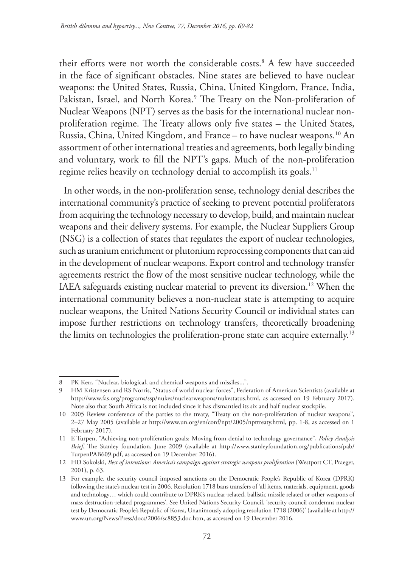their efforts were not worth the considerable costs.8 A few have succeeded in the face of significant obstacles. Nine states are believed to have nuclear weapons: the United States, Russia, China, United Kingdom, France, India, Pakistan, Israel, and North Korea.<sup>9</sup> The Treaty on the Non-proliferation of Nuclear Weapons (NPT) serves as the basis for the international nuclear nonproliferation regime. The Treaty allows only five states – the United States, Russia, China, United Kingdom, and France – to have nuclear weapons.10 An assortment of other international treaties and agreements, both legally binding and voluntary, work to fill the NPT's gaps. Much of the non-proliferation regime relies heavily on technology denial to accomplish its goals.<sup>11</sup>

In other words, in the non-proliferation sense, technology denial describes the international community's practice of seeking to prevent potential proliferators from acquiring the technology necessary to develop, build, and maintain nuclear weapons and their delivery systems. For example, the Nuclear Suppliers Group (NSG) is a collection of states that regulates the export of nuclear technologies, such as uranium enrichment or plutonium reprocessing components that can aid in the development of nuclear weapons. Export control and technology transfer agreements restrict the flow of the most sensitive nuclear technology, while the IAEA safeguards existing nuclear material to prevent its diversion.12 When the international community believes a non-nuclear state is attempting to acquire nuclear weapons, the United Nations Security Council or individual states can impose further restrictions on technology transfers, theoretically broadening the limits on technologies the proliferation-prone state can acquire externally.<sup>13</sup>

<sup>8</sup> PK Kerr, "Nuclear, biological, and chemical weapons and missiles...".

<sup>9</sup> HM Kristensen and RS Norris, "Status of world nuclear forces", Federation of American Scientists (available at http://www.fas.org/programs/ssp/nukes/nuclearweapons/nukestatus.html, as accessed on 19 February 2017). Note also that South Africa is not included since it has dismantled its six and half nuclear stockpile.

<sup>10</sup> 2005 Review conference of the parties to the treaty, "Treaty on the non-proliferation of nuclear weapons", 2–27 May 2005 (available at http://www.un.org/en/conf/npt/2005/npttreaty.html, pp. 1-8, as accessed on 1 February 2017).

<sup>11</sup> E Turpen, "Achieving non-proliferation goals: Moving from denial to technology governance", *Policy Analysis Brief*, The Stanley foundation, June 2009 (available at http://www.stanleyfoundation.org/publications/pab/ TurpenPAB609.pdf, as accessed on 19 December 2016).

<sup>12</sup> HD Sokolski, *Best of intentions: America's campaign against strategic weapons proliferation* (Westport CT, Praeger, 2001), p. 63.

<sup>13</sup> For example, the security council imposed sanctions on the Democratic People's Republic of Korea (DPRK) following the state's nuclear test in 2006. Resolution 1718 bans transfers of 'all items, materials, equipment, goods and technology… which could contribute to DPRK's nuclear-related, ballistic missile related or other weapons of mass destruction-related programmes'. See United Nations Security Council, 'security council condemns nuclear test by Democratic People's Republic of Korea, Unanimously adopting resolution 1718 (2006)' (available at http:// www.un.org/News/Press/docs/2006/sc8853.doc.htm, as accessed on 19 December 2016.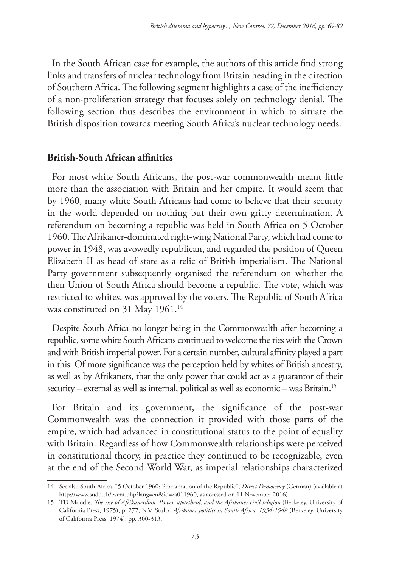In the South African case for example, the authors of this article find strong links and transfers of nuclear technology from Britain heading in the direction of Southern Africa. The following segment highlights a case of the inefficiency of a non-proliferation strategy that focuses solely on technology denial. The following section thus describes the environment in which to situate the British disposition towards meeting South Africa's nuclear technology needs.

#### **British-South African affinities**

For most white South Africans, the post-war commonwealth meant little more than the association with Britain and her empire. It would seem that by 1960, many white South Africans had come to believe that their security in the world depended on nothing but their own gritty determination. A referendum on becoming a republic was held in South Africa on 5 October 1960. The Afrikaner-dominated right-wing National Party, which had come to power in 1948, was avowedly republican, and regarded the position of Queen Elizabeth II as head of state as a relic of British imperialism. The National Party government subsequently organised the referendum on whether the then Union of South Africa should become a republic. The vote, which was restricted to whites, was approved by the voters. The Republic of South Africa was constituted on 31 May 1961.<sup>14</sup>

Despite South Africa no longer being in the Commonwealth after becoming a republic, some white South Africans continued to welcome the ties with the Crown and with British imperial power. For a certain number, cultural affinity played a part in this. Of more significance was the perception held by whites of British ancestry, as well as by Afrikaners, that the only power that could act as a guarantor of their security – external as well as internal, political as well as economic – was Britain.15

For Britain and its government, the significance of the post-war Commonwealth was the connection it provided with those parts of the empire, which had advanced in constitutional status to the point of equality with Britain. Regardless of how Commonwealth relationships were perceived in constitutional theory, in practice they continued to be recognizable, even at the end of the Second World War, as imperial relationships characterized

<sup>14</sup> See also South Africa, "5 October 1960: Proclamation of the Republic", *Direct Democracy* (German) (available at http://www.sudd.ch/event.php?lang=en&id=za011960, as accessed on 11 November 2016).

<sup>15</sup> TD Moodie, *The rise of Afrikanerdom: Power, apartheid, and the Afrikaner civil religion* (Berkeley, University of California Press, 1975), p. 277; NM Stultz, *Afrikaner politics in South Africa, 1934-1948* (Berkeley, University of California Press, 1974), pp. 300-313.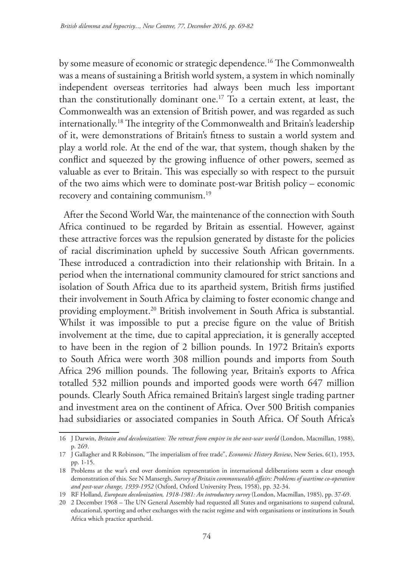by some measure of economic or strategic dependence.16 The Commonwealth was a means of sustaining a British world system, a system in which nominally independent overseas territories had always been much less important than the constitutionally dominant one.17 To a certain extent, at least, the Commonwealth was an extension of British power, and was regarded as such internationally.18 The integrity of the Commonwealth and Britain's leadership of it, were demonstrations of Britain's fitness to sustain a world system and play a world role. At the end of the war, that system, though shaken by the conflict and squeezed by the growing influence of other powers, seemed as valuable as ever to Britain. This was especially so with respect to the pursuit of the two aims which were to dominate post-war British policy – economic recovery and containing communism.<sup>19</sup>

After the Second World War, the maintenance of the connection with South Africa continued to be regarded by Britain as essential. However, against these attractive forces was the repulsion generated by distaste for the policies of racial discrimination upheld by successive South African governments. These introduced a contradiction into their relationship with Britain. In a period when the international community clamoured for strict sanctions and isolation of South Africa due to its apartheid system, British firms justified their involvement in South Africa by claiming to foster economic change and providing employment.20 British involvement in South Africa is substantial. Whilst it was impossible to put a precise figure on the value of British involvement at the time, due to capital appreciation, it is generally accepted to have been in the region of 2 billion pounds. In 1972 Britain's exports to South Africa were worth 308 million pounds and imports from South Africa 296 million pounds. The following year, Britain's exports to Africa totalled 532 million pounds and imported goods were worth 647 million pounds. Clearly South Africa remained Britain's largest single trading partner and investment area on the continent of Africa. Over 500 British companies had subsidiaries or associated companies in South Africa. Of South Africa's

<sup>16</sup> J Darwin, *Britain and decolonization: The retreat from empire in the oost-war world* (London, Macmillan, 1988), p. 269.

<sup>17</sup> J Gallagher and R Robinson, "The imperialism of free trade", *Economic History Review*, New Series, 6(1), 1953, pp. 1-15.

<sup>18</sup> Problems at the war's end over dominion representation in international deliberations seem a clear enough demonstration of this. See N Mansergh, *Survey of Britain commonwealth affairs: Problems of wartime co-operation and post-war change, 1939-1952* (Oxford, Oxford University Press, 1958), pp. 32-34.

<sup>19</sup> RF Holland, *European decolonization, 1918-1981: An introductory survey* (London, Macmillan, 1985), pp. 37-69.

<sup>20</sup> 2 December 1968 – The UN General Assembly had requested all States and organisations to suspend cultural, educational, sporting and other exchanges with the racist regime and with organisations or institutions in South Africa which practice apartheid.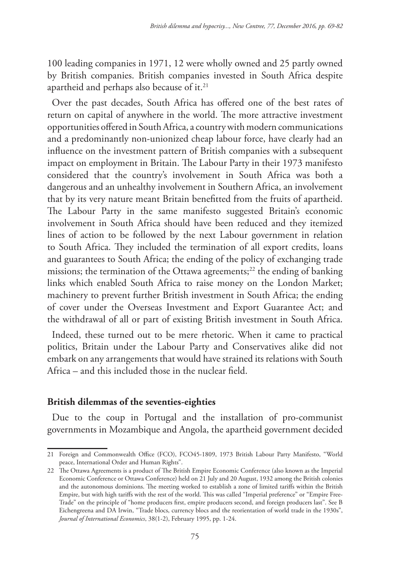100 leading companies in 1971, 12 were wholly owned and 25 partly owned by British companies. British companies invested in South Africa despite apartheid and perhaps also because of it.<sup>21</sup>

Over the past decades, South Africa has offered one of the best rates of return on capital of anywhere in the world. The more attractive investment opportunities offered in South Africa, a country with modern communications and a predominantly non-unionized cheap labour force, have clearly had an influence on the investment pattern of British companies with a subsequent impact on employment in Britain. The Labour Party in their 1973 manifesto considered that the country's involvement in South Africa was both a dangerous and an unhealthy involvement in Southern Africa, an involvement that by its very nature meant Britain benefitted from the fruits of apartheid. The Labour Party in the same manifesto suggested Britain's economic involvement in South Africa should have been reduced and they itemized lines of action to be followed by the next Labour government in relation to South Africa. They included the termination of all export credits, loans and guarantees to South Africa; the ending of the policy of exchanging trade missions; the termination of the Ottawa agreements;<sup>22</sup> the ending of banking links which enabled South Africa to raise money on the London Market; machinery to prevent further British investment in South Africa; the ending of cover under the Overseas Investment and Export Guarantee Act; and the withdrawal of all or part of existing British investment in South Africa.

Indeed, these turned out to be mere rhetoric. When it came to practical politics, Britain under the Labour Party and Conservatives alike did not embark on any arrangements that would have strained its relations with South Africa – and this included those in the nuclear field.

#### **British dilemmas of the seventies-eighties**

Due to the coup in Portugal and the installation of pro-communist governments in Mozambique and Angola, the apartheid government decided

<sup>21</sup> Foreign and Commonwealth Office (FCO), FCO45-1809, 1973 British Labour Party Manifesto, "World peace, International Order and Human Rights".

<sup>22</sup> The Ottawa Agreements is a product of The British Empire Economic Conference (also known as the Imperial Economic Conference or Ottawa Conference) held on 21 July and 20 August, 1932 among the British colonies and the autonomous dominions. The meeting worked to establish a zone of limited tariffs within the British Empire, but with high tariffs with the rest of the world. This was called "Imperial preference" or "Empire Free-Trade" on the principle of "home producers first, empire producers second, and foreign producers last". See B Eichengreena and DA Irwin, "Trade blocs, currency blocs and the reorientation of world trade in the 1930s", *Journal of International Economics*, 38(1-2), February 1995, pp. 1-24.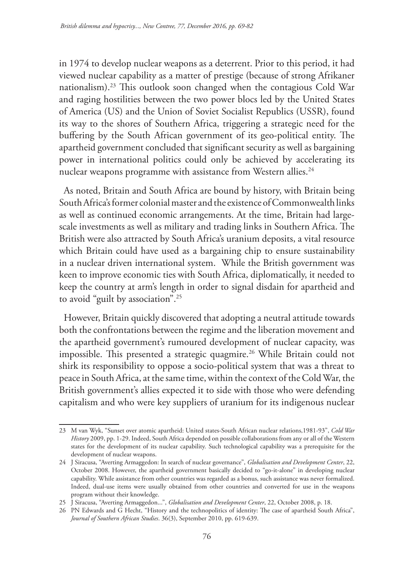in 1974 to develop nuclear weapons as a deterrent. Prior to this period, it had viewed nuclear capability as a matter of prestige (because of strong Afrikaner nationalism).23 This outlook soon changed when the contagious Cold War and raging hostilities between the two power blocs led by the United States of America (US) and the Union of Soviet Socialist Republics (USSR), found its way to the shores of Southern Africa, triggering a strategic need for the buffering by the South African government of its geo-political entity. The apartheid government concluded that significant security as well as bargaining power in international politics could only be achieved by accelerating its nuclear weapons programme with assistance from Western allies.<sup>24</sup>

As noted, Britain and South Africa are bound by history, with Britain being South Africa's former colonial master and the existence of Commonwealth links as well as continued economic arrangements. At the time, Britain had largescale investments as well as military and trading links in Southern Africa. The British were also attracted by South Africa's uranium deposits, a vital resource which Britain could have used as a bargaining chip to ensure sustainability in a nuclear driven international system. While the British government was keen to improve economic ties with South Africa, diplomatically, it needed to keep the country at arm's length in order to signal disdain for apartheid and to avoid "guilt by association".25

However, Britain quickly discovered that adopting a neutral attitude towards both the confrontations between the regime and the liberation movement and the apartheid government's rumoured development of nuclear capacity, was impossible. This presented a strategic quagmire.<sup>26</sup> While Britain could not shirk its responsibility to oppose a socio-political system that was a threat to peace in South Africa, at the same time, within the context of the Cold War, the British government's allies expected it to side with those who were defending capitalism and who were key suppliers of uranium for its indigenous nuclear

<sup>23</sup> M van Wyk, "Sunset over atomic apartheid: United states-South African nuclear relations,1981-93", *Cold War History* 2009, pp. 1-29. Indeed, South Africa depended on possible collaborations from any or all of the Western states for the development of its nuclear capability. Such technological capability was a prerequisite for the development of nuclear weapons.

<sup>24</sup> J Siracusa, "Averting Armaggedon: In search of nuclear governance", *Globalisation and Development Center*, 22, October 2008. However, the apartheid government basically decided to "go-it-alone" in developing nuclear capability. While assistance from other countries was regarded as a bonus, such assistance was never formalized. Indeed, dual-use items were usually obtained from other countries and converted for use in the weapons program without their knowledge.

<sup>25</sup> J Siracusa, "Averting Armaggedon...", *Globalisation and Development Center*, 22, October 2008, p. 18.

<sup>26</sup> PN Edwards and G Hecht, "History and the technopolitics of identity: The case of apartheid South Africa", *Journal of Southern African Studies*. 36(3), September 2010, pp. 619-639.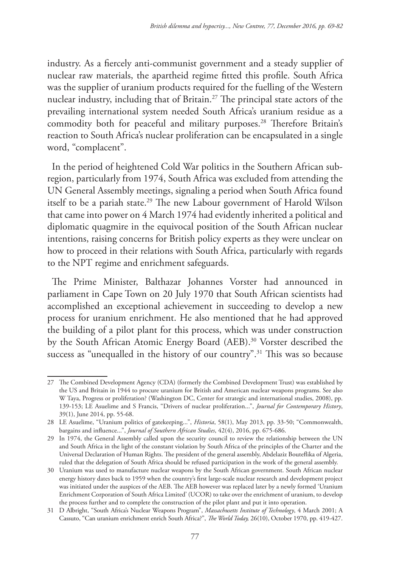industry. As a fiercely anti-communist government and a steady supplier of nuclear raw materials, the apartheid regime fitted this profile. South Africa was the supplier of uranium products required for the fuelling of the Western nuclear industry, including that of Britain.27 The principal state actors of the prevailing international system needed South Africa's uranium residue as a commodity both for peaceful and military purposes.<sup>28</sup> Therefore Britain's reaction to South Africa's nuclear proliferation can be encapsulated in a single word, "complacent".

In the period of heightened Cold War politics in the Southern African subregion, particularly from 1974, South Africa was excluded from attending the UN General Assembly meetings, signaling a period when South Africa found itself to be a pariah state.<sup>29</sup> The new Labour government of Harold Wilson that came into power on 4 March 1974 had evidently inherited a political and diplomatic quagmire in the equivocal position of the South African nuclear intentions, raising concerns for British policy experts as they were unclear on how to proceed in their relations with South Africa, particularly with regards to the NPT regime and enrichment safeguards.

The Prime Minister, Balthazar Johannes Vorster had announced in parliament in Cape Town on 20 July 1970 that South African scientists had accomplished an exceptional achievement in succeeding to develop a new process for uranium enrichment. He also mentioned that he had approved the building of a pilot plant for this process, which was under construction by the South African Atomic Energy Board (AEB).<sup>30</sup> Vorster described the success as "unequalled in the history of our country".<sup>31</sup> This was so because

<sup>27</sup> The Combined Development Agency (CDA) (formerly the Combined Development Trust) was established by the US and Britain in 1944 to procure uranium for British and American nuclear weapons programs. See also W Taya, Progress or proliferation? (Washington DC, Center for strategic and international studies, 2008), pp. 139-153; LE Asuelime and S Francis, "Drivers of nuclear proliferation...", *Journal for Contemporary History*, 39(1), June 2014, pp. 55-68.

<sup>28</sup> LE Asuelime, "Uranium politics of gatekeeping...", *Historia*, 58(1), May 2013, pp. 33-50; "Commonwealth, bargains and influence...", *Journal of Southern African Studies*, 42(4), 2016, pp. 675-686.

<sup>29</sup> In 1974, the General Assembly called upon the security council to review the relationship between the UN and South Africa in the light of the constant violation by South Africa of the principles of the Charter and the Universal Declaration of Human Rights. The president of the general assembly, Abdelaziz Bouteflika of Algeria, ruled that the delegation of South Africa should be refused participation in the work of the general assembly.

<sup>30</sup> Uranium was used to manufacture nuclear weapons by the South African government. South African nuclear energy history dates back to 1959 when the country's first large-scale nuclear research and development project was initiated under the auspices of the AEB. The AEB however was replaced later by a newly formed 'Uranium Enrichment Corporation of South Africa Limited' (UCOR) to take over the enrichment of uranium, to develop the process further and to complete the construction of the pilot plant and put it into operation.

<sup>31</sup> D Albright, "South Africa's Nuclear Weapons Program", *Massachusetts Institute of Technology*, 4 March 2001; A Cassuto, "Can uranium enrichment enrich South Africa?", *The World Today,* 26(10), October 1970, pp. 419-427.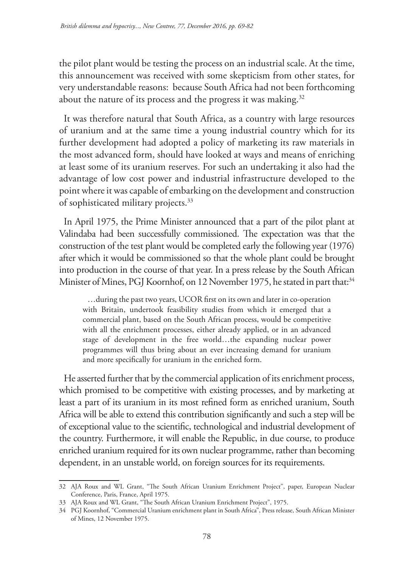the pilot plant would be testing the process on an industrial scale. At the time, this announcement was received with some skepticism from other states, for very understandable reasons: because South Africa had not been forthcoming about the nature of its process and the progress it was making. $32$ 

It was therefore natural that South Africa, as a country with large resources of uranium and at the same time a young industrial country which for its further development had adopted a policy of marketing its raw materials in the most advanced form, should have looked at ways and means of enriching at least some of its uranium reserves. For such an undertaking it also had the advantage of low cost power and industrial infrastructure developed to the point where it was capable of embarking on the development and construction of sophisticated military projects.<sup>33</sup>

In April 1975, the Prime Minister announced that a part of the pilot plant at Valindaba had been successfully commissioned. The expectation was that the construction of the test plant would be completed early the following year (1976) after which it would be commissioned so that the whole plant could be brought into production in the course of that year. In a press release by the South African Minister of Mines, PGJ Koornhof, on 12 November 1975, he stated in part that:<sup>34</sup>

…during the past two years, UCOR first on its own and later in co-operation with Britain, undertook feasibility studies from which it emerged that a commercial plant, based on the South African process, would be competitive with all the enrichment processes, either already applied, or in an advanced stage of development in the free world…the expanding nuclear power programmes will thus bring about an ever increasing demand for uranium and more specifically for uranium in the enriched form.

He asserted further that by the commercial application of its enrichment process, which promised to be competitive with existing processes, and by marketing at least a part of its uranium in its most refined form as enriched uranium, South Africa will be able to extend this contribution significantly and such a step will be of exceptional value to the scientific, technological and industrial development of the country. Furthermore, it will enable the Republic, in due course, to produce enriched uranium required for its own nuclear programme, rather than becoming dependent, in an unstable world, on foreign sources for its requirements.

<sup>32</sup> AJA Roux and WL Grant, "The South African Uranium Enrichment Project", paper, European Nuclear Conference, Paris, France, April 1975.

<sup>33</sup> AJA Roux and WL Grant, "The South African Uranium Enrichment Project", 1975.

<sup>34</sup> PGJ Koornhof, "Commercial Uranium enrichment plant in South Africa", Press release, South African Minister of Mines, 12 November 1975.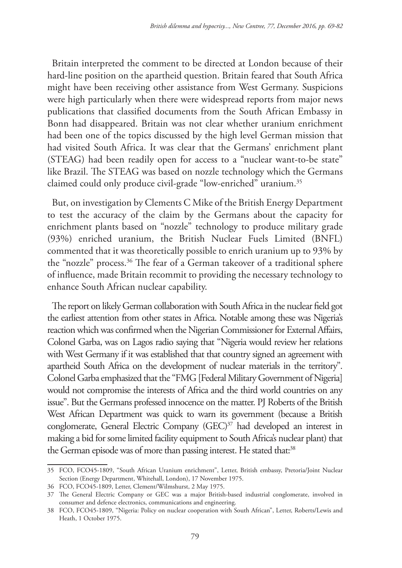Britain interpreted the comment to be directed at London because of their hard-line position on the apartheid question. Britain feared that South Africa might have been receiving other assistance from West Germany. Suspicions were high particularly when there were widespread reports from major news publications that classified documents from the South African Embassy in Bonn had disappeared. Britain was not clear whether uranium enrichment had been one of the topics discussed by the high level German mission that had visited South Africa. It was clear that the Germans' enrichment plant (STEAG) had been readily open for access to a "nuclear want-to-be state" like Brazil. The STEAG was based on nozzle technology which the Germans claimed could only produce civil-grade "low-enriched" uranium.35

But, on investigation by Clements C Mike of the British Energy Department to test the accuracy of the claim by the Germans about the capacity for enrichment plants based on "nozzle" technology to produce military grade (93%) enriched uranium, the British Nuclear Fuels Limited (BNFL) commented that it was theoretically possible to enrich uranium up to 93% by the "nozzle" process.36 The fear of a German takeover of a traditional sphere of influence, made Britain recommit to providing the necessary technology to enhance South African nuclear capability.

The report on likely German collaboration with South Africa in the nuclear field got the earliest attention from other states in Africa. Notable among these was Nigeria's reaction which was confirmed when the Nigerian Commissioner for External Affairs, Colonel Garba, was on Lagos radio saying that "Nigeria would review her relations with West Germany if it was established that that country signed an agreement with apartheid South Africa on the development of nuclear materials in the territory". Colonel Garba emphasized that the "FMG [Federal Military Government of Nigeria] would not compromise the interests of Africa and the third world countries on any issue". But the Germans professed innocence on the matter. PJ Roberts of the British West African Department was quick to warn its government (because a British conglomerate, General Electric Company (GEC)<sup>37</sup> had developed an interest in making a bid for some limited facility equipment to South Africa's nuclear plant) that the German episode was of more than passing interest. He stated that:<sup>38</sup>

<sup>35</sup> FCO, FCO45-1809, "South African Uranium enrichment", Letter, British embassy, Pretoria/Joint Nuclear Section (Energy Department, Whitehall, London), 17 November 1975.

<sup>36</sup> FCO, FCO45-1809, Letter, Clement/Wilmshurst, 2 May 1975.

<sup>37</sup> The General Electric Company or GEC was a major British-based industrial conglomerate, involved in consumer and defence electronics, communications and engineering.

<sup>38</sup> FCO, FCO45-1809, "Nigeria: Policy on nuclear cooperation with South African", Letter, Roberts/Lewis and Heath, 1 October 1975.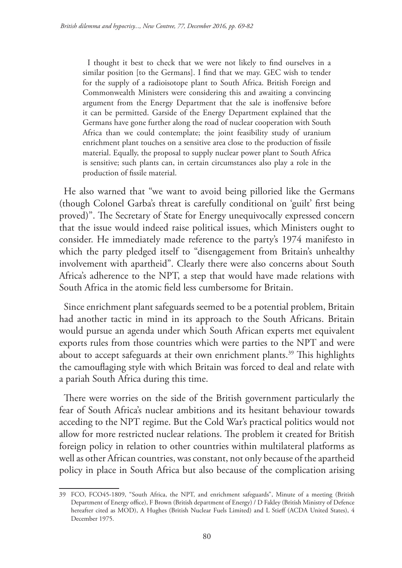I thought it best to check that we were not likely to find ourselves in a similar position [to the Germans]. I find that we may. GEC wish to tender for the supply of a radioisotope plant to South Africa. British Foreign and Commonwealth Ministers were considering this and awaiting a convincing argument from the Energy Department that the sale is inoffensive before it can be permitted. Garside of the Energy Department explained that the Germans have gone further along the road of nuclear cooperation with South Africa than we could contemplate; the joint feasibility study of uranium enrichment plant touches on a sensitive area close to the production of fissile material. Equally, the proposal to supply nuclear power plant to South Africa is sensitive; such plants can, in certain circumstances also play a role in the production of fissile material.

He also warned that "we want to avoid being pilloried like the Germans (though Colonel Garba's threat is carefully conditional on 'guilt' first being proved)". The Secretary of State for Energy unequivocally expressed concern that the issue would indeed raise political issues, which Ministers ought to consider. He immediately made reference to the party's 1974 manifesto in which the party pledged itself to "disengagement from Britain's unhealthy involvement with apartheid". Clearly there were also concerns about South Africa's adherence to the NPT, a step that would have made relations with South Africa in the atomic field less cumbersome for Britain.

Since enrichment plant safeguards seemed to be a potential problem, Britain had another tactic in mind in its approach to the South Africans. Britain would pursue an agenda under which South African experts met equivalent exports rules from those countries which were parties to the NPT and were about to accept safeguards at their own enrichment plants.<sup>39</sup> This highlights the camouflaging style with which Britain was forced to deal and relate with a pariah South Africa during this time.

There were worries on the side of the British government particularly the fear of South Africa's nuclear ambitions and its hesitant behaviour towards acceding to the NPT regime. But the Cold War's practical politics would not allow for more restricted nuclear relations. The problem it created for British foreign policy in relation to other countries within multilateral platforms as well as other African countries, was constant, not only because of the apartheid policy in place in South Africa but also because of the complication arising

<sup>39</sup> FCO, FCO45-1809, "South Africa, the NPT, and enrichment safeguards", Minute of a meeting (British Department of Energy office), F Brown (British department of Energy) / D Fakley (British Ministry of Defence hereafter cited as MOD), A Hughes (British Nuclear Fuels Limited) and L Stieff (ACDA United States), 4 December 1975.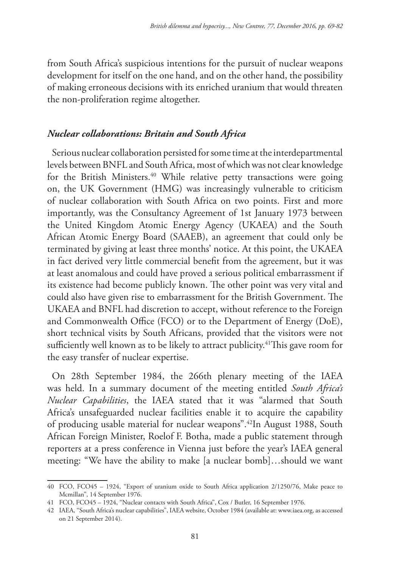from South Africa's suspicious intentions for the pursuit of nuclear weapons development for itself on the one hand, and on the other hand, the possibility of making erroneous decisions with its enriched uranium that would threaten the non-proliferation regime altogether.

### *Nuclear collaborations: Britain and South Africa*

Serious nuclear collaboration persisted for some time at the interdepartmental levels between BNFL and South Africa, most of which was not clear knowledge for the British Ministers.<sup>40</sup> While relative petty transactions were going on, the UK Government (HMG) was increasingly vulnerable to criticism of nuclear collaboration with South Africa on two points. First and more importantly, was the Consultancy Agreement of 1st January 1973 between the United Kingdom Atomic Energy Agency (UKAEA) and the South African Atomic Energy Board (SAAEB), an agreement that could only be terminated by giving at least three months' notice. At this point, the UKAEA in fact derived very little commercial benefit from the agreement, but it was at least anomalous and could have proved a serious political embarrassment if its existence had become publicly known. The other point was very vital and could also have given rise to embarrassment for the British Government. The UKAEA and BNFL had discretion to accept, without reference to the Foreign and Commonwealth Office (FCO) or to the Department of Energy (DoE), short technical visits by South Africans, provided that the visitors were not sufficiently well known as to be likely to attract publicity.<sup>41</sup>This gave room for the easy transfer of nuclear expertise.

On 28th September 1984, the 266th plenary meeting of the IAEA was held. In a summary document of the meeting entitled *South Africa's Nuclear Capabilities*, the IAEA stated that it was "alarmed that South Africa's unsafeguarded nuclear facilities enable it to acquire the capability of producing usable material for nuclear weapons".42In August 1988, South African Foreign Minister, Roelof F. Botha, made a public statement through reporters at a press conference in Vienna just before the year's IAEA general meeting: "We have the ability to make [a nuclear bomb]…should we want

<sup>40</sup> FCO, FCO45 – 1924, "Export of uranium oxide to South Africa application 2/1250/76, Make peace to Mcmillan", 14 September 1976.

<sup>41</sup> FCO, FCO45 – 1924, "Nuclear contacts with South Africa", Cox / Butler, 16 September 1976.

<sup>42</sup> IAEA, "South Africa's nuclear capabilities", IAEA website, October 1984 (available at: www.iaea.org, as accessed on 21 September 2014).